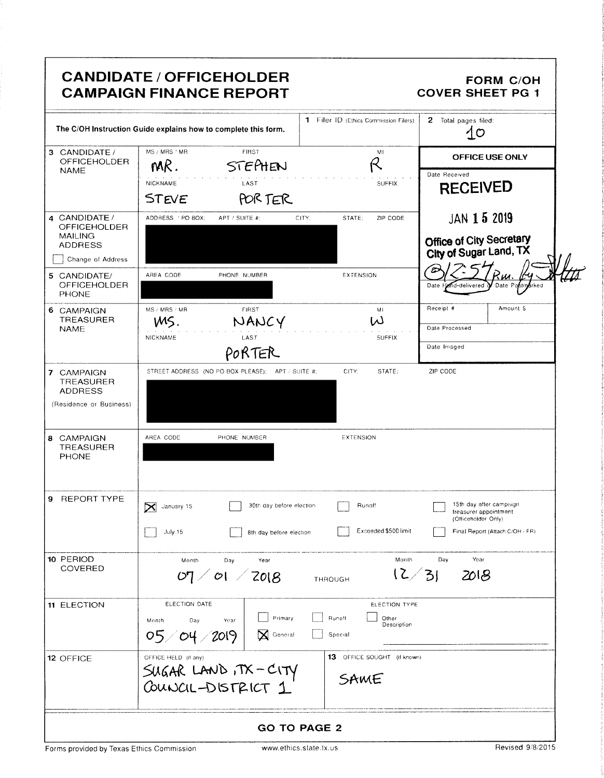| CANDIDATE / OFFICEHOLDER<br>CAMPAIGN FINANCE REPORT<br>FORM C/OH<br>COVER SHEET PG 1                                                                                                                                                                                                                                                                                                     |  |  |  |
|------------------------------------------------------------------------------------------------------------------------------------------------------------------------------------------------------------------------------------------------------------------------------------------------------------------------------------------------------------------------------------------|--|--|--|
| 1 Filer ID (Ethics Commission Filers) 2 Total pages filed:<br>and the contract of the contract of the contract of the contract of the contract of the contract of the contract of<br>OFFICE USE ONLY                                                                                                                                                                                     |  |  |  |
| The C/OH Instruction Guide explains how to complete this form. There ID (Ethics Commission Filers) 2<br>3 CANDIDATE/<br>MAR. STEPHEN<br>MAR. STEPHEN<br>STEVE PORTER<br>CANDIDATE/<br>MODRES PO BOX: APT/SUITE #: CITY: STATE: ZIP CODE<br>M<br>JAN 15 2019<br>Office of City Secretary<br>City of Sugar Land, TX<br>$\left( \frac{\partial}{\partial \lambda} \right) \leq \frac{1}{2}$ |  |  |  |
| Date Hend-delivered Date Postmerked<br>Date Postmerked<br>Date Processed<br>SUFFIX<br>Date Imaged<br>ATE/<br>AREA CODE PHONE NUMBER                                                                                                                                                                                                                                                      |  |  |  |
| S CAMPAIGN MS/MRS/MR FIRST<br>TREASURER MS. MANCY WHO Date Processed<br>IAME PORTER PORTER STREET ADDRESS (NO PO BOX PLEASE); APT / SUITE #: CITY: STATE: ZIP CODE                                                                                                                                                                                                                       |  |  |  |
| ADDRESS<br>(Residence or Business)<br>SN AREA CODE PHONE NUMBER                                                                                                                                                                                                                                                                                                                          |  |  |  |
| 9 REPORT TYPE                                                                                                                                                                                                                                                                                                                                                                            |  |  |  |
| Manuary 15 30th day before election Punoff<br>July 15 30th day before election Exceeded \$500 limit (Officeholder Only)<br>July 15 3th day before election Exceeded \$500 limit Final Report (Attach C/OH - FR)<br>RIOD<br>Werken Month Day Year Month Day Year<br>UMP OI 2018 THROUGH 12/31 2018                                                                                        |  |  |  |
|                                                                                                                                                                                                                                                                                                                                                                                          |  |  |  |
| ELECTION DATE<br>Month Day Year Derimary Determined Observation<br>O5 O4 2019 R General Special<br>SUGAR LAND, TX – CITY SAME                                                                                                                                                                                                                                                            |  |  |  |
| GO TO PAGE 2<br>Revised 9/8/2015                                                                                                                                                                                                                                                                                                                                                         |  |  |  |
|                                                                                                                                                                                                                                                                                                                                                                                          |  |  |  |
|                                                                                                                                                                                                                                                                                                                                                                                          |  |  |  |
|                                                                                                                                                                                                                                                                                                                                                                                          |  |  |  |
|                                                                                                                                                                                                                                                                                                                                                                                          |  |  |  |
|                                                                                                                                                                                                                                                                                                                                                                                          |  |  |  |
|                                                                                                                                                                                                                                                                                                                                                                                          |  |  |  |
|                                                                                                                                                                                                                                                                                                                                                                                          |  |  |  |
|                                                                                                                                                                                                                                                                                                                                                                                          |  |  |  |
|                                                                                                                                                                                                                                                                                                                                                                                          |  |  |  |
|                                                                                                                                                                                                                                                                                                                                                                                          |  |  |  |
|                                                                                                                                                                                                                                                                                                                                                                                          |  |  |  |
|                                                                                                                                                                                                                                                                                                                                                                                          |  |  |  |
|                                                                                                                                                                                                                                                                                                                                                                                          |  |  |  |
|                                                                                                                                                                                                                                                                                                                                                                                          |  |  |  |
|                                                                                                                                                                                                                                                                                                                                                                                          |  |  |  |
|                                                                                                                                                                                                                                                                                                                                                                                          |  |  |  |
|                                                                                                                                                                                                                                                                                                                                                                                          |  |  |  |
|                                                                                                                                                                                                                                                                                                                                                                                          |  |  |  |
|                                                                                                                                                                                                                                                                                                                                                                                          |  |  |  |
|                                                                                                                                                                                                                                                                                                                                                                                          |  |  |  |
|                                                                                                                                                                                                                                                                                                                                                                                          |  |  |  |
|                                                                                                                                                                                                                                                                                                                                                                                          |  |  |  |
|                                                                                                                                                                                                                                                                                                                                                                                          |  |  |  |
|                                                                                                                                                                                                                                                                                                                                                                                          |  |  |  |
|                                                                                                                                                                                                                                                                                                                                                                                          |  |  |  |
|                                                                                                                                                                                                                                                                                                                                                                                          |  |  |  |
|                                                                                                                                                                                                                                                                                                                                                                                          |  |  |  |
|                                                                                                                                                                                                                                                                                                                                                                                          |  |  |  |
|                                                                                                                                                                                                                                                                                                                                                                                          |  |  |  |
|                                                                                                                                                                                                                                                                                                                                                                                          |  |  |  |
|                                                                                                                                                                                                                                                                                                                                                                                          |  |  |  |
|                                                                                                                                                                                                                                                                                                                                                                                          |  |  |  |
|                                                                                                                                                                                                                                                                                                                                                                                          |  |  |  |
|                                                                                                                                                                                                                                                                                                                                                                                          |  |  |  |
|                                                                                                                                                                                                                                                                                                                                                                                          |  |  |  |
|                                                                                                                                                                                                                                                                                                                                                                                          |  |  |  |
|                                                                                                                                                                                                                                                                                                                                                                                          |  |  |  |
|                                                                                                                                                                                                                                                                                                                                                                                          |  |  |  |
|                                                                                                                                                                                                                                                                                                                                                                                          |  |  |  |
|                                                                                                                                                                                                                                                                                                                                                                                          |  |  |  |
|                                                                                                                                                                                                                                                                                                                                                                                          |  |  |  |
|                                                                                                                                                                                                                                                                                                                                                                                          |  |  |  |
|                                                                                                                                                                                                                                                                                                                                                                                          |  |  |  |
|                                                                                                                                                                                                                                                                                                                                                                                          |  |  |  |
|                                                                                                                                                                                                                                                                                                                                                                                          |  |  |  |
|                                                                                                                                                                                                                                                                                                                                                                                          |  |  |  |
|                                                                                                                                                                                                                                                                                                                                                                                          |  |  |  |
|                                                                                                                                                                                                                                                                                                                                                                                          |  |  |  |
|                                                                                                                                                                                                                                                                                                                                                                                          |  |  |  |
|                                                                                                                                                                                                                                                                                                                                                                                          |  |  |  |
|                                                                                                                                                                                                                                                                                                                                                                                          |  |  |  |
|                                                                                                                                                                                                                                                                                                                                                                                          |  |  |  |
|                                                                                                                                                                                                                                                                                                                                                                                          |  |  |  |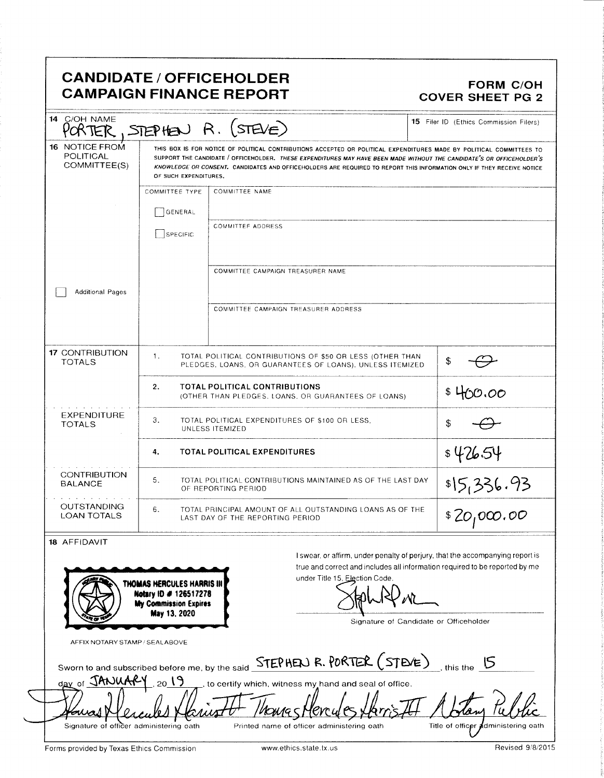## CANDIDATE / OFFICEHOLDER<br>CAMPAIGN FINANCE REPORT CAMPAIGN FINANCE REPORT CAMPAIGN FINANCE REPORT

| COMMITTEE NAME<br>COMMITTEE TYPE<br>GENERAL<br><b>COMMITTEF ADDRESS</b><br>SPECIFIC<br>COMMITTEE CAMPAIGN TREASURER NAME<br><b>Additional Pages</b><br>COMMITTEE CAMPAIGN TREASURER ADDRESS<br><b>17 CONTRIBUTION</b><br>1.<br>TOTAL POLITICAL CONTRIBUTIONS OF \$50 OR LESS (OTHER THAN<br>S<br><b>TOTALS</b><br>PLEDGES, LOANS, OR GUARANTEES OF LOANS), UNLESS ITEMIZED<br>2.<br><b>TOTAL POLITICAL CONTRIBUTIONS</b><br>HOO.OO<br>(OTHER THAN PLEDGES, LOANS, OR GUARANTEES OF LOANS)<br><b>EXPENDITURE</b><br>3.<br>TOTAL POLITICAL EXPENDITURES OF \$100 OR LESS.<br>\$<br><b>TOTALS</b><br>UNLESS ITEMIZED<br>\$426.54<br><b>TOTAL POLITICAL EXPENDITURES</b><br>4.<br><b>CONTRIBUTION</b><br>5.<br>TOTAL POLITICAL CONTRIBUTIONS MAINTAINED AS OF THE LAST DAY<br>\$15,336.93<br>\$20,000.00<br><b>BALANCE</b><br>OF REPORTING PERIOD<br><b>OUTSTANDING</b><br>6.<br>TOTAL PRINCIPAL AMOUNT OF ALL OUTSTANDING LOANS AS OF THE<br><b>LOAN TOTALS</b><br>LAST DAY OF THE REPORTING PERIOD<br>18 AFFIDAVIT<br>I swear, or affirm, under penalty of perjury, that the accompanying report is<br>true and correct and includes all information required to be reported by me<br>under Title 15, Election Code.<br>THOMAS HERCULES HARRIS III<br>Notary ID # 126517278<br><b>My Commission Expires</b><br>May 13, 2020<br>Signature of Candidate or Officeholder<br>AFFIX NOTARY STAMP / SEALABOVE<br>STEPHEN R. PORTER $(ST E \> )$ <sub>, this the</sub><br>Sworn to and subscribed before me, by the said | $SIEP$ HEN R. (STEVE)<br>ORTER<br><b>16 NOTICE FROM</b><br>POLITICAL<br>COMMITTEE(S) | THIS BOX IS FOR NOTICE OF POLITICAL CONTRIBUTIONS ACCEPTED OR POLITICAL EXPENDITURES MADE BY POLITICAL COMMITTEES TO<br>SUPPORT THE CANDIDATE / OFFICEHOLDER. THESE EXPENDITURES MAY HAVE BEEN MADE WITHOUT THE CANDIDATE'S OR OFFICEHOLDER'S<br>KNOWLEDGE OR CONSENT. CANDIDATES AND OFFICEHOLDERS ARE REQUIRED TO REPORT THIS INFORMATION ONLY IF THEY RECEIVE NOTICE |  |  |
|-----------------------------------------------------------------------------------------------------------------------------------------------------------------------------------------------------------------------------------------------------------------------------------------------------------------------------------------------------------------------------------------------------------------------------------------------------------------------------------------------------------------------------------------------------------------------------------------------------------------------------------------------------------------------------------------------------------------------------------------------------------------------------------------------------------------------------------------------------------------------------------------------------------------------------------------------------------------------------------------------------------------------------------------------------------------------------------------------------------------------------------------------------------------------------------------------------------------------------------------------------------------------------------------------------------------------------------------------------------------------------------------------------------------------------------------------------------------------------------------------------------------|--------------------------------------------------------------------------------------|-------------------------------------------------------------------------------------------------------------------------------------------------------------------------------------------------------------------------------------------------------------------------------------------------------------------------------------------------------------------------|--|--|
|                                                                                                                                                                                                                                                                                                                                                                                                                                                                                                                                                                                                                                                                                                                                                                                                                                                                                                                                                                                                                                                                                                                                                                                                                                                                                                                                                                                                                                                                                                                 |                                                                                      |                                                                                                                                                                                                                                                                                                                                                                         |  |  |
|                                                                                                                                                                                                                                                                                                                                                                                                                                                                                                                                                                                                                                                                                                                                                                                                                                                                                                                                                                                                                                                                                                                                                                                                                                                                                                                                                                                                                                                                                                                 |                                                                                      |                                                                                                                                                                                                                                                                                                                                                                         |  |  |
|                                                                                                                                                                                                                                                                                                                                                                                                                                                                                                                                                                                                                                                                                                                                                                                                                                                                                                                                                                                                                                                                                                                                                                                                                                                                                                                                                                                                                                                                                                                 |                                                                                      |                                                                                                                                                                                                                                                                                                                                                                         |  |  |
|                                                                                                                                                                                                                                                                                                                                                                                                                                                                                                                                                                                                                                                                                                                                                                                                                                                                                                                                                                                                                                                                                                                                                                                                                                                                                                                                                                                                                                                                                                                 |                                                                                      |                                                                                                                                                                                                                                                                                                                                                                         |  |  |
|                                                                                                                                                                                                                                                                                                                                                                                                                                                                                                                                                                                                                                                                                                                                                                                                                                                                                                                                                                                                                                                                                                                                                                                                                                                                                                                                                                                                                                                                                                                 |                                                                                      |                                                                                                                                                                                                                                                                                                                                                                         |  |  |
|                                                                                                                                                                                                                                                                                                                                                                                                                                                                                                                                                                                                                                                                                                                                                                                                                                                                                                                                                                                                                                                                                                                                                                                                                                                                                                                                                                                                                                                                                                                 |                                                                                      |                                                                                                                                                                                                                                                                                                                                                                         |  |  |
|                                                                                                                                                                                                                                                                                                                                                                                                                                                                                                                                                                                                                                                                                                                                                                                                                                                                                                                                                                                                                                                                                                                                                                                                                                                                                                                                                                                                                                                                                                                 |                                                                                      |                                                                                                                                                                                                                                                                                                                                                                         |  |  |
|                                                                                                                                                                                                                                                                                                                                                                                                                                                                                                                                                                                                                                                                                                                                                                                                                                                                                                                                                                                                                                                                                                                                                                                                                                                                                                                                                                                                                                                                                                                 |                                                                                      |                                                                                                                                                                                                                                                                                                                                                                         |  |  |
|                                                                                                                                                                                                                                                                                                                                                                                                                                                                                                                                                                                                                                                                                                                                                                                                                                                                                                                                                                                                                                                                                                                                                                                                                                                                                                                                                                                                                                                                                                                 |                                                                                      |                                                                                                                                                                                                                                                                                                                                                                         |  |  |
|                                                                                                                                                                                                                                                                                                                                                                                                                                                                                                                                                                                                                                                                                                                                                                                                                                                                                                                                                                                                                                                                                                                                                                                                                                                                                                                                                                                                                                                                                                                 |                                                                                      |                                                                                                                                                                                                                                                                                                                                                                         |  |  |
|                                                                                                                                                                                                                                                                                                                                                                                                                                                                                                                                                                                                                                                                                                                                                                                                                                                                                                                                                                                                                                                                                                                                                                                                                                                                                                                                                                                                                                                                                                                 |                                                                                      |                                                                                                                                                                                                                                                                                                                                                                         |  |  |
|                                                                                                                                                                                                                                                                                                                                                                                                                                                                                                                                                                                                                                                                                                                                                                                                                                                                                                                                                                                                                                                                                                                                                                                                                                                                                                                                                                                                                                                                                                                 |                                                                                      |                                                                                                                                                                                                                                                                                                                                                                         |  |  |
| JANUAR<br>20.19                                                                                                                                                                                                                                                                                                                                                                                                                                                                                                                                                                                                                                                                                                                                                                                                                                                                                                                                                                                                                                                                                                                                                                                                                                                                                                                                                                                                                                                                                                 |                                                                                      |                                                                                                                                                                                                                                                                                                                                                                         |  |  |
| , to certify which, witness my hand and seal of office.<br>dav of                                                                                                                                                                                                                                                                                                                                                                                                                                                                                                                                                                                                                                                                                                                                                                                                                                                                                                                                                                                                                                                                                                                                                                                                                                                                                                                                                                                                                                               |                                                                                      |                                                                                                                                                                                                                                                                                                                                                                         |  |  |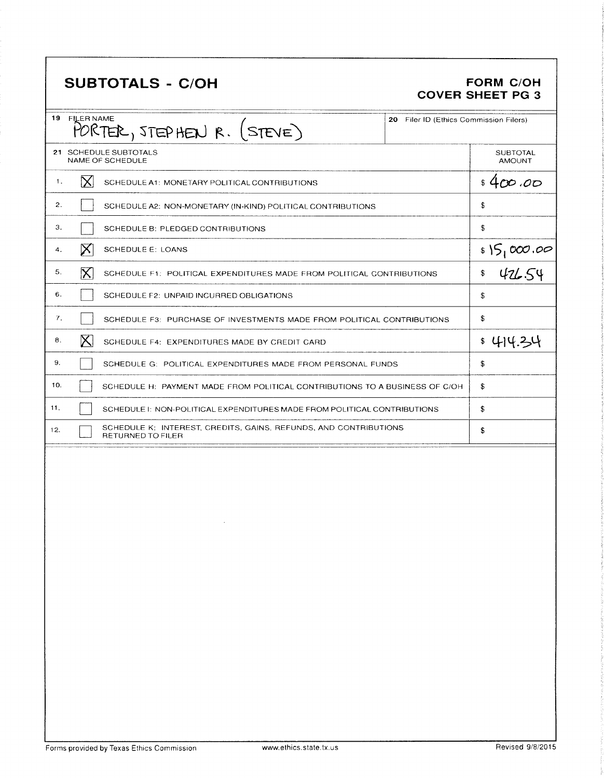## SUBTOTALS - C/OH FORM C/OH

# COVER SHEET PG 3

| 19  | <b>FILER NAME</b><br>20 Filer ID (Ethics Commission Filers)<br>PORTER, STEPHEN $R.$ (STEVE) |                                                                                              |  |                                  |
|-----|---------------------------------------------------------------------------------------------|----------------------------------------------------------------------------------------------|--|----------------------------------|
|     | 21 SCHEDULE SUBTOTALS<br>NAME OF SCHEDULE                                                   |                                                                                              |  | <b>SUBTOTAL</b><br><b>AMOUNT</b> |
| 1.  | $\bowtie$                                                                                   | SCHEDULE A1: MONETARY POLITICAL CONTRIBUTIONS                                                |  | \$400.00                         |
| 2.  |                                                                                             | SCHEDULE A2: NON-MONETARY (IN-KIND) POLITICAL CONTRIBUTIONS                                  |  | \$                               |
| З.  |                                                                                             | SCHEDULE B: PLEDGED CONTRIBUTIONS                                                            |  | \$                               |
| 4.  | $\mathsf{X}$                                                                                | <b>SCHEDULE E: LOANS</b>                                                                     |  |                                  |
| 5.  | $ \mathsf{X} $                                                                              | SCHEDULE F1: POLITICAL EXPENDITURES MADE FROM POLITICAL CONTRIBUTIONS                        |  | $\frac{$15,000.00}{$402.54}$     |
| 6.  |                                                                                             | SCHEDULE F2: UNPAID INCURRED OBLIGATIONS                                                     |  | \$                               |
| 7.  |                                                                                             | SCHEDULE F3: PURCHASE OF INVESTMENTS MADE FROM POLITICAL CONTRIBUTIONS                       |  | \$                               |
| 8.  | $\mathsf{X}\mathsf{I}$                                                                      | SCHEDULE F4: EXPENDITURES MADE BY CREDIT CARD                                                |  | \$414.34                         |
| 9.  |                                                                                             | SCHEDULE G: POLITICAL EXPENDITURES MADE FROM PERSONAL FUNDS                                  |  | \$                               |
| 10. |                                                                                             | SCHEDULE H: PAYMENT MADE FROM POLITICAL CONTRIBUTIONS TO A BUSINESS OF C/OH                  |  | \$                               |
| 11. |                                                                                             | SCHEDULE I: NON-POLITICAL EXPENDITURES MADE FROM POLITICAL CONTRIBUTIONS                     |  | \$                               |
| 12. |                                                                                             | SCHEDULE K: INTEREST, CREDITS, GAINS, REFUNDS, AND CONTRIBUTIONS<br><b>RETURNED TO FILER</b> |  | \$                               |
|     |                                                                                             |                                                                                              |  |                                  |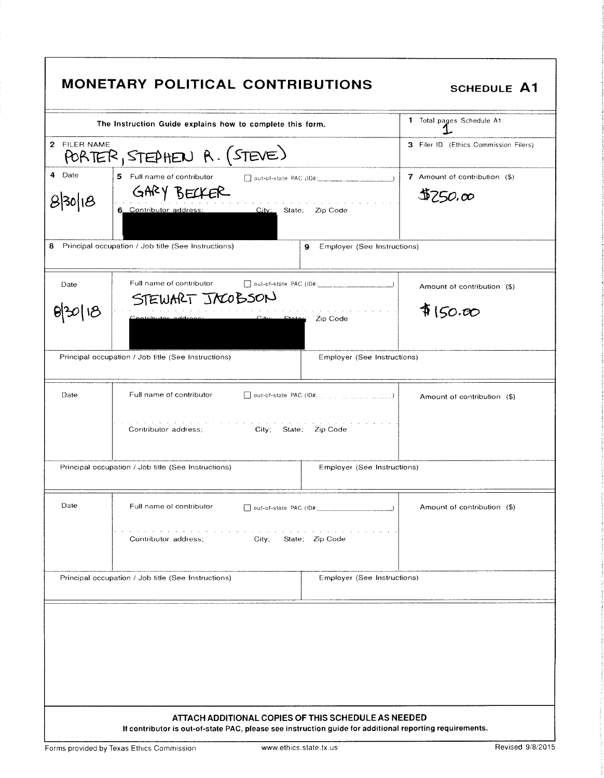## MONETARY POLITICAL CONTRIBUTIONS SCHEDULE A1

|                                                           |                                                                                        |                                                                                  | 1 Total pages Schedule A1:                |  |
|-----------------------------------------------------------|----------------------------------------------------------------------------------------|----------------------------------------------------------------------------------|-------------------------------------------|--|
| The Instruction Guide explains how to complete this form. |                                                                                        |                                                                                  |                                           |  |
| 2 FILER NAME                                              | PORTER, STEPHEN A. (STEVE)                                                             |                                                                                  | 3 Filer ID (Ethics Commission Filers)     |  |
| 4 Date                                                    | 5 Full name of contributor<br>BECKER<br>GARY<br>6 Contributor address:<br>City: State, | $\Box$ out-of-state PAC (ID#;<br>Zip Code                                        | 7 Amount of contribution (\$)<br>\$750.00 |  |
| 8                                                         | Principal occupation / Job title (See Instructions)<br>9                               | Employer (See Instructions)                                                      |                                           |  |
| Date                                                      | Full name of contributor<br>STEWART JACOBSON                                           | Zip Code                                                                         | Amount of contribution (\$)<br>\$150.00   |  |
|                                                           | Principal occupation / Job title (See Instructions)                                    | Employer (See Instructions)                                                      |                                           |  |
| Date                                                      | Full name of contributor                                                               | $\Box$ out-of-state PAC (ID#: $\Box$ $\Box$ $\Box$ $\Box$ $\Box$ $\Box$ $\Box$ ) | Amount of contribution (\$)               |  |
|                                                           | Contributor address:<br>City; State; Zip Code                                          |                                                                                  |                                           |  |
|                                                           | Principal occupation / Job title (See Instructions)                                    | Employer (See Instructions)                                                      |                                           |  |
| Date                                                      | Full name of contributor<br>City; State; Zip Code<br>Contributor address;              |                                                                                  | Amount of contribution (\$)               |  |
|                                                           | Principal occupation / Job title (See Instructions)                                    | Employer (See Instructions)                                                      |                                           |  |
|                                                           | ATTACH ADDITIONAL COPIES OF THIS SCHEDULE AS NEEDED                                    |                                                                                  |                                           |  |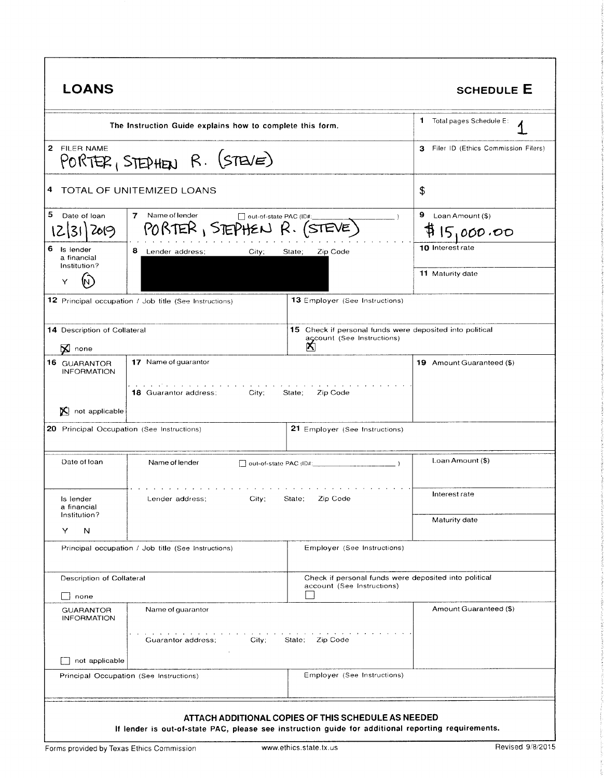| <b>LOANS</b>                                                                                      |                                                                                                    |                                                                                                    | <b>SCHEDULE E</b>                     |
|---------------------------------------------------------------------------------------------------|----------------------------------------------------------------------------------------------------|----------------------------------------------------------------------------------------------------|---------------------------------------|
|                                                                                                   | The Instruction Guide explains how to complete this form.                                          |                                                                                                    | 1 Total pages Schedule E:             |
| 2 FILER NAME                                                                                      | PORTER, STEPHEN R. (STEVE)                                                                         |                                                                                                    | 3 Filer ID (Ethics Commission Filers) |
| TOTAL OF UNITEMIZED LOANS<br>4                                                                    |                                                                                                    |                                                                                                    | \$                                    |
| 5<br>Date of loan<br>200<br>$\mathcal{Z}$                                                         | Name of lender<br>7<br>out-of-state PAC (ID#:<br>PORTER, STEPHEN R. (STEVE)                        |                                                                                                    | $9$ Loan Amount (\$)<br>5,000.00      |
| 6<br>Is lender<br>a financial<br>Institution?                                                     | 8<br>Lender address:<br>City;                                                                      | Zip Code<br>State;                                                                                 | 10 Interest rate                      |
|                                                                                                   |                                                                                                    |                                                                                                    | 11 Maturity date                      |
|                                                                                                   | <b>12</b> Principal occupation / Job title (See Instructions)                                      | <b>13</b> Employer (See Instructions)                                                              |                                       |
| 14 Description of Collateral<br>$\mathbf{\Sigma}$ none                                            |                                                                                                    | <b>15</b> Check if personal funds were deposited into political<br>account (See Instructions)<br>N |                                       |
| 16 GUARANTOR<br><b>INFORMATION</b>                                                                | <b>17</b> Name of guarantor                                                                        |                                                                                                    | 19 Amount Guaranteed (\$)             |
| not applicable<br>X.                                                                              | <b>18</b> Guarantor address:<br>City:                                                              | Zip Code<br>State;                                                                                 |                                       |
| <b>20</b> Principal Occupation (See Instructions)                                                 |                                                                                                    | 21 Employer (See Instructions)                                                                     |                                       |
| Date of Ioan                                                                                      | Name of lender<br>out-of-state PAC (IDII:                                                          |                                                                                                    | Loan Amount (\$)                      |
| is lender<br>a financial                                                                          | Lender address;<br>City,                                                                           | State,<br>Zip Code                                                                                 | Interest rate                         |
| Institution?<br>Y<br>N                                                                            |                                                                                                    |                                                                                                    | Maturity date                         |
|                                                                                                   | Principal occupation / Job title (See Instructions)                                                | Employer (See Instructions)                                                                        |                                       |
| Description of Collateral<br>none                                                                 |                                                                                                    | Check if personal funds were deposited into political<br>account (See Instructions)                |                                       |
| <b>GUARANTOR</b><br><b>INFORMATION</b>                                                            | Name of guarantor                                                                                  |                                                                                                    | Amount Guaranteed (\$)                |
| the contract of the contract of the contract of<br>City;<br>State: Zip Code<br>Guarantor address; |                                                                                                    |                                                                                                    |                                       |
| not applicable<br>Principal Occupation (See Instructions)                                         |                                                                                                    |                                                                                                    |                                       |
|                                                                                                   |                                                                                                    | Employer (See Instructions)                                                                        |                                       |
|                                                                                                   | If lender is out-of-state PAC, please see instruction guide for additional reporting requirements. | ATTACH ADDITIONAL COPIES OF THIS SCHEDULE AS NEEDED                                                |                                       |
| Revised 9/8/2015<br>www.ethics.state.tx.us<br>Forms provided by Texas Ethics Commission           |                                                                                                    |                                                                                                    |                                       |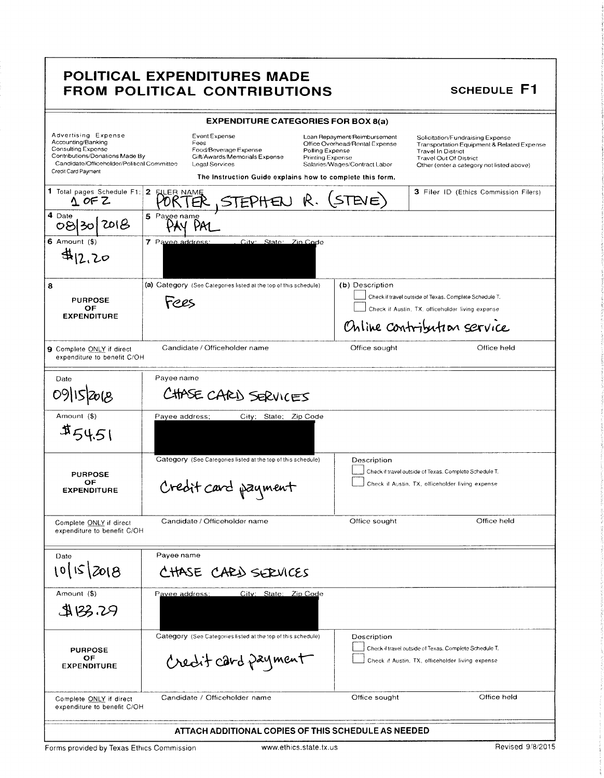### POLITICAL EXPENDITURES MADE FROM POLITICAL CONTRIBUTIONS SCHEDULE F1

| <b>EXPENDITURE CATEGORIES FOR BOX 8(a)</b>                                                                                                                              |                                                                                                                                                                       |                                                                                                                                        |                                                                                                                                                                                           |  |  |
|-------------------------------------------------------------------------------------------------------------------------------------------------------------------------|-----------------------------------------------------------------------------------------------------------------------------------------------------------------------|----------------------------------------------------------------------------------------------------------------------------------------|-------------------------------------------------------------------------------------------------------------------------------------------------------------------------------------------|--|--|
| Advertising Expense<br>Accounting/Banking<br>Consulting Expense<br>Contributions/Donations Made By<br>Candidate/Officeholder/Political Committee<br>Credit Card Payment | Event Expense<br>Fees<br>Food/Beverage Expense<br>Gift/Awards/Memorials Expense<br><b>Legal Services</b><br>The Instruction Guide explains how to complete this form. | Loan Repayment/Reimbursement<br>Office Overhead/Rental Expense<br>Polling Expense<br>Printing Expense<br>Salaries/Wages/Contract Labor | Solicitation/Fundraising Expense<br>Transportation Equipment & Related Expense<br><b>Travel In District</b><br><b>Travel Out Of District</b><br>Other (enter a category not listed above) |  |  |
| 1 Total pages Schedule F1:<br>$\Lambda$ OF Z                                                                                                                            | 2<br><b>ELLER NAME</b>                                                                                                                                                | STEPHEN R. (STEVE)                                                                                                                     | 3 Filer ID (Ethics Commission Filers)                                                                                                                                                     |  |  |
| 4 Date<br>0813012018                                                                                                                                                    | 5 Payee name                                                                                                                                                          |                                                                                                                                        |                                                                                                                                                                                           |  |  |
| $6$ Amount $(9)$<br>\$12.20                                                                                                                                             | 7 Pavee address:<br>City: State Zin Code                                                                                                                              |                                                                                                                                        |                                                                                                                                                                                           |  |  |
| 8                                                                                                                                                                       | (a) Category (See Categories listed at the top of this schedule)                                                                                                      | (b) Description                                                                                                                        |                                                                                                                                                                                           |  |  |
| <b>PURPOSE</b><br>ОF                                                                                                                                                    | riaes                                                                                                                                                                 |                                                                                                                                        | Check if travel outside of Texas. Complete Schedule T.<br>Check if Austin, TX. officeholder living expense                                                                                |  |  |
| <b>EXPENDITURE</b>                                                                                                                                                      |                                                                                                                                                                       |                                                                                                                                        | Online contribution service                                                                                                                                                               |  |  |
| 9 Complete ONLY if direct<br>expenditure to benefit C/OH                                                                                                                | Candidate / Officeholder name                                                                                                                                         | Office sought                                                                                                                          | Office held                                                                                                                                                                               |  |  |
| Date                                                                                                                                                                    | Payee name                                                                                                                                                            |                                                                                                                                        |                                                                                                                                                                                           |  |  |
| 20(8)                                                                                                                                                                   | CHASE CARD SERVICES                                                                                                                                                   |                                                                                                                                        |                                                                                                                                                                                           |  |  |
| Amount (\$)<br>City; State; Zip Code<br>Payee address;                                                                                                                  |                                                                                                                                                                       |                                                                                                                                        |                                                                                                                                                                                           |  |  |
| $*5451$                                                                                                                                                                 |                                                                                                                                                                       |                                                                                                                                        |                                                                                                                                                                                           |  |  |
|                                                                                                                                                                         | Category (See Categories listed at the top of this schedule)<br>Description                                                                                           |                                                                                                                                        |                                                                                                                                                                                           |  |  |
| OF<br><b>EXPENDITURE</b>                                                                                                                                                | Check if travel outside of Texas. Complete Schedule T.<br><b>PURPOSE</b><br>Check if Austin, TX, officeholder living expense<br>Credit card payment                   |                                                                                                                                        |                                                                                                                                                                                           |  |  |
| Complete ONLY if direct<br>expenditure to benefit C/OH                                                                                                                  | Candidate / Officeholder name                                                                                                                                         | Office sought                                                                                                                          | Office held                                                                                                                                                                               |  |  |
| Date                                                                                                                                                                    | Payee name                                                                                                                                                            |                                                                                                                                        |                                                                                                                                                                                           |  |  |
| 10/15/2018                                                                                                                                                              | CHASE CARD SERVICES                                                                                                                                                   |                                                                                                                                        |                                                                                                                                                                                           |  |  |
| Amount (\$)                                                                                                                                                             | City: State: Zip Code<br>Payee address:                                                                                                                               |                                                                                                                                        |                                                                                                                                                                                           |  |  |
| R.S. 29                                                                                                                                                                 |                                                                                                                                                                       |                                                                                                                                        |                                                                                                                                                                                           |  |  |
|                                                                                                                                                                         | Category (See Categories listed at the top of this schedule)                                                                                                          | Description                                                                                                                            |                                                                                                                                                                                           |  |  |
| <b>PURPOSE</b><br>ОF<br><b>EXPENDITURE</b>                                                                                                                              | Credit card payment                                                                                                                                                   |                                                                                                                                        | Check if travel outside of Texas. Complete Schedule T.<br>Check if Austin, TX, officeholder living expense                                                                                |  |  |
| Complete ONLY if direct<br>expenditure to benefit C/OH                                                                                                                  | Candidate / Officeholder name                                                                                                                                         | Office sought                                                                                                                          | Office held                                                                                                                                                                               |  |  |
| ATTACH ADDITIONAL COPIES OF THIS SCHEDULE AS NEEDED                                                                                                                     |                                                                                                                                                                       |                                                                                                                                        |                                                                                                                                                                                           |  |  |

Forms provided by Texas Ethics Commission www.ethics.state.tx.us Revised 9/8/2015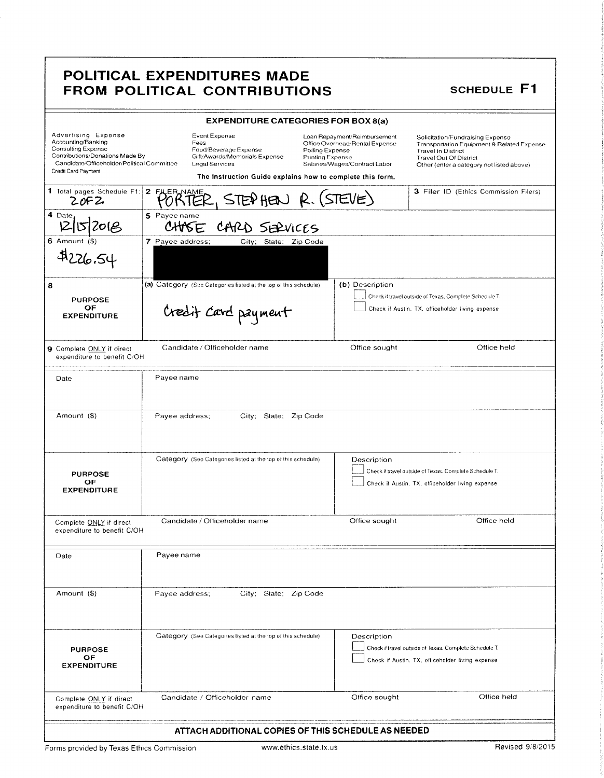### POLITICAL EXPENDITURES MADE FROM POLITICAL CONTRIBUTIONS SCHEDULE F1

| <b>EXPENDITURE CATEGORIES FOR BOX 8(a)</b>                                                                                                       |                                                                                                          |                                                                                                                                        |                                                                                                                                                                                           |  |
|--------------------------------------------------------------------------------------------------------------------------------------------------|----------------------------------------------------------------------------------------------------------|----------------------------------------------------------------------------------------------------------------------------------------|-------------------------------------------------------------------------------------------------------------------------------------------------------------------------------------------|--|
| Advertising Expense<br>Accounting/Banking<br>Consulting Expense<br>Contributions/Donations Made By<br>Candidate/Officeholder/Political Committee | Event Expense<br>Fees<br>Food/Beverage Expense<br>Gift/Awards/Memorials Expense<br><b>Legal Services</b> | Loan Repayment/Reimbursement<br>Office Overhead/Rental Expense<br>Polling Expense<br>Printing Expense<br>Salaries/Wages/Contract Labor | Solicitation/Fundraising Expense<br>Transportation Equipment & Related Expense<br><b>Travel In District</b><br><b>Travel Out Of District</b><br>Other (enter a category not listed above) |  |
| Credit Card Payment                                                                                                                              | The Instruction Guide explains how to complete this form.                                                |                                                                                                                                        |                                                                                                                                                                                           |  |
| 1 Total pages Schedule F1:<br>20F2                                                                                                               | 2 FALER NAME<br>STEPHEN R. (STEVE)                                                                       |                                                                                                                                        | 3 Filer ID (Ethics Commission Filers)                                                                                                                                                     |  |
| 4 Date<br>12 15 2018                                                                                                                             | 5 Payee name<br>CARD SERVICES<br>CHVE                                                                    |                                                                                                                                        |                                                                                                                                                                                           |  |
| $6$ Amount $(3)$                                                                                                                                 | City; State; Zip Code<br>7 Payee address;                                                                |                                                                                                                                        |                                                                                                                                                                                           |  |
| \$226.54                                                                                                                                         |                                                                                                          |                                                                                                                                        |                                                                                                                                                                                           |  |
| 8<br><b>PURPOSE</b><br>OF<br><b>EXPENDITURE</b>                                                                                                  | (a) Category (See Categories listed at the top of this schedule)<br>Credit card payment                  | (b) Description                                                                                                                        | Check if travel outside of Texas, Complete Schedule T.<br>Check if Austin, TX, officeholder living expense                                                                                |  |
| 9 Complete ONLY if direct<br>expenditure to benefit C/OH                                                                                         | Candidate / Officeholder name                                                                            | Office sought                                                                                                                          | Office held                                                                                                                                                                               |  |
|                                                                                                                                                  |                                                                                                          |                                                                                                                                        |                                                                                                                                                                                           |  |
| Date                                                                                                                                             | Payee name                                                                                               |                                                                                                                                        |                                                                                                                                                                                           |  |
| Amount (\$)                                                                                                                                      | City: State; Zip Code<br>Payee address;                                                                  |                                                                                                                                        |                                                                                                                                                                                           |  |
| <b>PURPOSE</b><br>ОF<br><b>EXPENDITURE</b>                                                                                                       | Category (See Categories listed at the top of this schedule)                                             | Description                                                                                                                            | Check if travel outside of Texas. Complete Schedule T.<br>Check if Austin, TX, officeholder living expense                                                                                |  |
| Complete ONLY if direct<br>expenditure to benefit C/OH                                                                                           | Candidate / Officeholder name                                                                            | Office sought                                                                                                                          | Office held                                                                                                                                                                               |  |
| Date                                                                                                                                             | Payee name                                                                                               |                                                                                                                                        |                                                                                                                                                                                           |  |
| Amount (\$)                                                                                                                                      | Payee address;<br>City: State: Zip Code                                                                  |                                                                                                                                        |                                                                                                                                                                                           |  |
| <b>PURPOSE</b><br><b>OF</b><br><b>EXPENDITURE</b>                                                                                                | Category (See Categories listed at the top of this schedule)                                             | Description                                                                                                                            | Check if travel outside of Texas. Complete Schedule T.<br>Check if Austin, TX, officeholder living expense                                                                                |  |
| Complete ONLY if direct                                                                                                                          | Office held<br>Office sought<br>Candidate / Officeholder name<br>expenditure to benefit C/OH             |                                                                                                                                        |                                                                                                                                                                                           |  |
|                                                                                                                                                  | ATTACH ADDITIONAL COPIES OF THIS SCHEDULE AS NEEDED                                                      |                                                                                                                                        |                                                                                                                                                                                           |  |
|                                                                                                                                                  | Revised 9/8/2015<br>www.ethics.state.tx.us<br>Forms provided by Texas Ethics Commission                  |                                                                                                                                        |                                                                                                                                                                                           |  |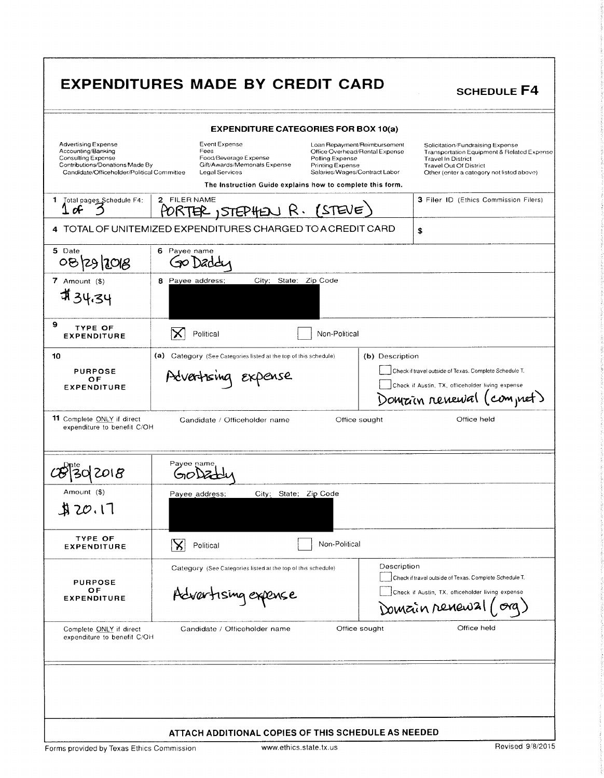|                                                                                                                                                         | <b>EXPENDITURES MADE BY CREDIT CARD</b>                                                                                                                                                                      | <b>SCHEDULE F4</b>                                                                                                                                                                                                                                                                           |
|---------------------------------------------------------------------------------------------------------------------------------------------------------|--------------------------------------------------------------------------------------------------------------------------------------------------------------------------------------------------------------|----------------------------------------------------------------------------------------------------------------------------------------------------------------------------------------------------------------------------------------------------------------------------------------------|
|                                                                                                                                                         | <b>EXPENDITURE CATEGORIES FOR BOX 10(a)</b>                                                                                                                                                                  |                                                                                                                                                                                                                                                                                              |
| <b>Advertising Expense</b><br>Accounting/Banking<br>Consulting Expense<br>Contributions/Donations Made By<br>Candidate/Officeholder/Political Committee | Event Expense<br>Fees<br>Food/Beverage Expense<br>Polling Expense<br>Gift/Awards/Memorials Expense<br>Printing Expense<br><b>Legal Services</b><br>The Instruction Guide explains how to complete this form. | Loan Repayment/Reimbursement<br>Solicitation/Fundraising Expense<br>Office Overhead/Rental Expense<br>Transportation Equipment & Related Expense<br><b>Travel In District</b><br><b>Travel Out Of District</b><br>Salaries/Wages/Contract Labor<br>Other (enter a category not listed above) |
| 1.<br>Total pages Schedule F4:<br>$1$ of                                                                                                                | 2 FILER NAME<br><u>RTER , STEPHEN R. (STEVE)</u>                                                                                                                                                             | 3 Filer ID (Ethics Commission Filers)                                                                                                                                                                                                                                                        |
|                                                                                                                                                         | 4 TOTAL OF UNITEMIZED EXPENDITURES CHARGED TO A CREDIT CARD                                                                                                                                                  | \$                                                                                                                                                                                                                                                                                           |
| 5 Date<br>08/29/2018                                                                                                                                    | 6 Payee name<br>. ଏଠା 1) <i>2</i> ମ                                                                                                                                                                          |                                                                                                                                                                                                                                                                                              |
| 7 Amount $($ )<br>#34.34                                                                                                                                | 8 Payee address;<br>City:<br>State: Zip Code                                                                                                                                                                 |                                                                                                                                                                                                                                                                                              |
| 9<br>TYPE OF<br><b>EXPENDITURE</b>                                                                                                                      | Political<br>Non-Political                                                                                                                                                                                   |                                                                                                                                                                                                                                                                                              |
| 10<br><b>PURPOSE</b><br>ОF<br><b>EXPENDITURE</b>                                                                                                        | (a) Category (See Categories listed at the top of this schedule)<br>Advertising Expense                                                                                                                      | (b) Description<br>Check if travel outside of Texas. Complete Schedule T.<br>Check if Austin, TX, officeholder living expense<br>Domain renewal (compret)                                                                                                                                    |
| 11 Complete ONLY if direct<br>expenditure to benefit C/OH<br>2018                                                                                       | Candidate / Officeholder name<br>Payee name                                                                                                                                                                  | Office held<br>Office sought                                                                                                                                                                                                                                                                 |
| Amount (\$)                                                                                                                                             | City;<br>State; Zip Code<br>Payee address;                                                                                                                                                                   |                                                                                                                                                                                                                                                                                              |
| 120.17                                                                                                                                                  |                                                                                                                                                                                                              |                                                                                                                                                                                                                                                                                              |
| <b>TYPE OF</b><br><b>EXPENDITURE</b>                                                                                                                    | Non-Political<br>Political                                                                                                                                                                                   |                                                                                                                                                                                                                                                                                              |
| <b>PURPOSE</b><br>ОF<br><b>EXPENDITURE</b>                                                                                                              | Category (See Categories listed at the top of this schedule)<br>Advartising expense                                                                                                                          | Description<br>Check if travel outside of Texas. Complete Schedule T.<br>Check if Austin, TX, officeholder living expense<br>Domain renewal                                                                                                                                                  |
| Complete ONLY if direct<br>expenditure to benefit C/OH                                                                                                  | Candidate / Officeholder name                                                                                                                                                                                | Office held<br>Office sought                                                                                                                                                                                                                                                                 |
|                                                                                                                                                         |                                                                                                                                                                                                              |                                                                                                                                                                                                                                                                                              |
|                                                                                                                                                         | ATTACH ADDITIONAL COPIES OF THIS SCHEDULE AS NEEDED<br>www.ethics.state.tx.us<br>Forms provided by Texas Ethics Commission                                                                                   | Revised 9/8/2015                                                                                                                                                                                                                                                                             |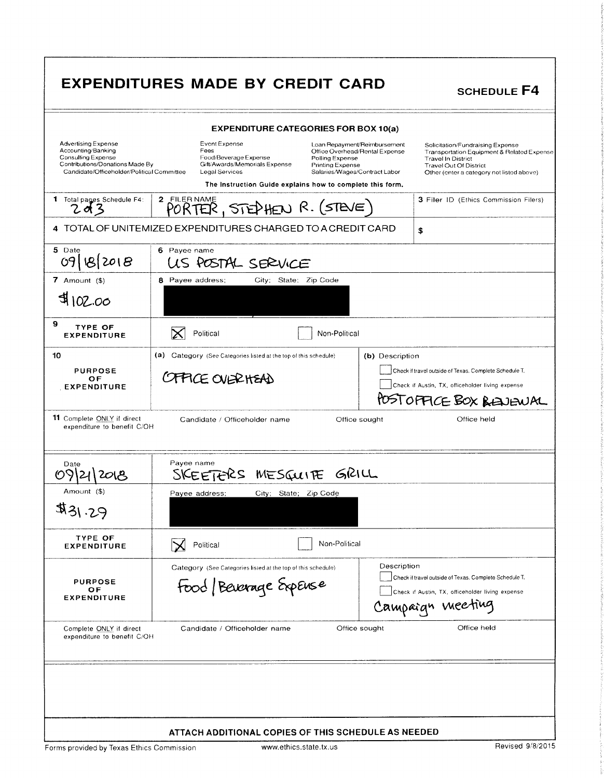|                                                                                                                                                         | <b>EXPENDITURES MADE BY CREDIT CARD</b>                                                                                                                                                                                         | <b>SCHEDULE F4</b>                                                                                                                                                                                                                                          |
|---------------------------------------------------------------------------------------------------------------------------------------------------------|---------------------------------------------------------------------------------------------------------------------------------------------------------------------------------------------------------------------------------|-------------------------------------------------------------------------------------------------------------------------------------------------------------------------------------------------------------------------------------------------------------|
| <b>Advertising Expense</b><br>Accounting/Banking<br>Consulting Expense<br>Contributions/Donations Made By<br>Candidate/Officeholder/Political Committee | <b>EXPENDITURE CATEGORIES FOR BOX 10(a)</b><br>Event Expense<br>Fees<br>Food/Beverage Expense<br>Polling Expense<br>Gift/Awards/Memorials Expense<br>Printing Expense<br><b>Legal Services</b><br>Salaries/Wages/Contract Labor | Loan Repayment/Reimbursement<br>Solicitation/Fundraising Expense<br>Office Overhead/Rental Expense<br>Transportation Equipment & Related Expense<br><b>Travel In District</b><br><b>Travel Out Of District</b><br>Other (enter a category not listed above) |
| 1 Total pages Schedule F4:<br><b>2d3</b>                                                                                                                | The Instruction Guide explains how to complete this form.<br>PORTER, STEPHEN R. (STEVE)<br>4 TOTAL OF UNITEMIZED EXPENDITURES CHARGED TO A CREDIT CARD                                                                          | 3 Filer ID (Ethics Commission Filers)<br>\$                                                                                                                                                                                                                 |
| 5 Date<br>09 18 2018<br>7 Amount $($)$<br>4102.00                                                                                                       | 6 Payee name<br>US POSTAL SERVICE<br><b>8</b> Payee address;<br>City; State; Zip Code                                                                                                                                           |                                                                                                                                                                                                                                                             |
| 9<br><b>TYPE OF</b><br><b>EXPENDITURE</b><br>10<br><b>PURPOSE</b><br>OF<br><b>EXPENDITURE</b>                                                           | Political<br>Non-Political<br>(a) Category (See Categories listed at the top of this schedule)<br>OFFICE OVER HEAD                                                                                                              | (b) Description<br>Check if travel outside of Texas, Complete Schedule T.<br>Check if Austin, TX, officeholder living expense                                                                                                                               |
| 11 Complete ONLY if direct<br>expenditure to benefit C/OH                                                                                               | Candidate / Officeholder name                                                                                                                                                                                                   | POSTOPFICE BOX RENEWAL<br>Office held<br>Office sought                                                                                                                                                                                                      |
| Date<br>Amount (\$)                                                                                                                                     | Payee name<br>SKEETERS MESQUITE GRILL<br>City; State; Zip Code<br>Payee address:                                                                                                                                                |                                                                                                                                                                                                                                                             |
| 82.154<br><b>TYPE OF</b>                                                                                                                                | Non-Political                                                                                                                                                                                                                   |                                                                                                                                                                                                                                                             |
| <b>EXPENDITURE</b><br><b>PURPOSE</b><br>ОF<br><b>EXPENDITURE</b>                                                                                        | Political<br>Category (See Categories listed at the top of this schedule)<br>Food   Beverage ExpEnse                                                                                                                            | Description<br>Check if travel outside of Texas. Complete Schedule T.<br>Check if Austin, TX, officeholder living expense<br>Campaign meeting                                                                                                               |
| Complete ONLY if direct<br>expenditure to benefit C/OH                                                                                                  | Candidate / Officeholder name                                                                                                                                                                                                   | Office held<br>Office sought                                                                                                                                                                                                                                |
| Forms provided by Texas Ethics Commission                                                                                                               | ATTACH ADDITIONAL COPIES OF THIS SCHEDULE AS NEEDED<br>www.ethics.state.tx.us                                                                                                                                                   | Revised 9/8/2015                                                                                                                                                                                                                                            |